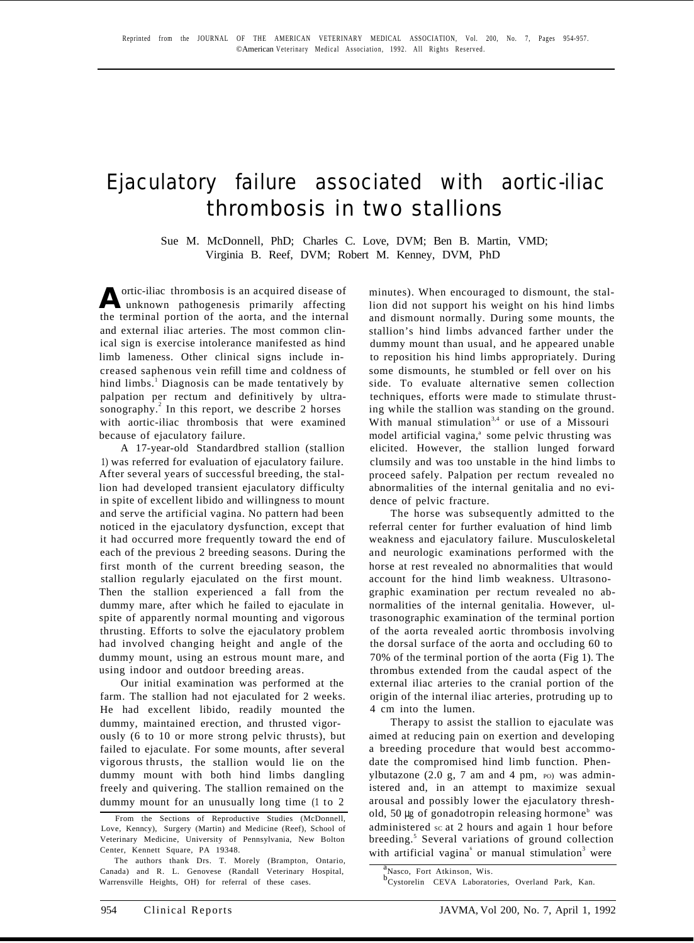## Ejaculatory failure associated with aortic-iliac thrombosis in two stallions

Sue M. McDonnell, PhD; Charles C. Love, DVM; Ben B. Martin, VMD; Virginia B. Reef, DVM; Robert M. Kenney, DVM, PhD

**A** ortic-iliac thrombosis is an acquired disease of unknown pathogenesis primarily affecting the terminal portion of the aorta, and the internal and external iliac arteries. The most common clinical sign is exercise intolerance manifested as hind limb lameness. Other clinical signs include increased saphenous vein refill time and coldness of hind limbs.<sup>1</sup> Diagnosis can be made tentatively by palpation per rectum and definitively by ultrasonography.<sup>2</sup> In this report, we describe 2 horses with aortic-iliac thrombosis that were examined because of ejaculatory failure.

A 17-year-old Standardbred stallion (stallion 1) was referred for evaluation of ejaculatory failure. After several years of successful breeding, the stallion had developed transient ejaculatory difficulty in spite of excellent libido and willingness to mount and serve the artificial vagina. No pattern had been noticed in the ejaculatory dysfunction, except that it had occurred more frequently toward the end of each of the previous 2 breeding seasons. During the first month of the current breeding season, the stallion regularly ejaculated on the first mount. Then the stallion experienced a fall from the dummy mare, after which he failed to ejaculate in spite of apparently normal mounting and vigorous thrusting. Efforts to solve the ejaculatory problem had involved changing height and angle of the dummy mount, using an estrous mount mare, and using indoor and outdoor breeding areas.

Our initial examination was performed at the farm. The stallion had not ejaculated for 2 weeks. He had excellent libido, readily mounted the dummy, maintained erection, and thrusted vigorously (6 to 10 or more strong pelvic thrusts), but failed to ejaculate. For some mounts, after several vigorous thrusts, the stallion would lie on the dummy mount with both hind limbs dangling freely and quivering. The stallion remained on the dummy mount for an unusually long time (1 to 2

minutes). When encouraged to dismount, the stallion did not support his weight on his hind limbs and dismount normally. During some mounts, the stallion's hind limbs advanced farther under the dummy mount than usual, and he appeared unable to reposition his hind limbs appropriately. During some dismounts, he stumbled or fell over on his side. To evaluate alternative semen collection techniques, efforts were made to stimulate thrusting while the stallion was standing on the ground. With manual stimulation<sup>3,4</sup> or use of a Missouri model artificial vagina,<sup>a</sup> some pelvic thrusting was elicited. However, the stallion lunged forward clumsily and was too unstable in the hind limbs to proceed safely. Palpation per rectum revealed no abnormalities of the internal genitalia and no evidence of pelvic fracture.

The horse was subsequently admitted to the referral center for further evaluation of hind limb weakness and ejaculatory failure. Musculoskeletal and neurologic examinations performed with the horse at rest revealed no abnormalities that would account for the hind limb weakness. Ultrasonographic examination per rectum revealed no abnormalities of the internal genitalia. However, ultrasonographic examination of the terminal portion of the aorta revealed aortic thrombosis involving the dorsal surface of the aorta and occluding 60 to 70% of the terminal portion of the aorta (Fig 1). The thrombus extended from the caudal aspect of the external iliac arteries to the cranial portion of the origin of the internal iliac arteries, protruding up to 4 cm into the lumen.

Therapy to assist the stallion to ejaculate was aimed at reducing pain on exertion and developing a breeding procedure that would best accommodate the compromised hind limb function. Phenylbutazone  $(2.0 \text{ g}, 7 \text{ am and } 4 \text{ pm}, \text{ ro})$  was administered and, in an attempt to maximize sexual arousal and possibly lower the ejaculatory threshold, 50  $\mu$ g of gonadotropin releasing hormone<sup>b</sup> was administered  $\text{sc at 2 hours}$  and again 1 hour before breeding.<sup>5</sup> Several variations of ground collection with artificial vagina<sup>6</sup> or manual stimulation<sup>3</sup> were

From the Sections of Reproductive Studies (McDonnell, Love, Kenncy), Surgery (Martin) and Medicine (Reef), School of Veterinary Medicine, University of Pennsylvania, New Bolton Center, Kennett Square, PA 19348.

The authors thank Drs. T. Morely (Brampton, Ontario, Canada) and R. L. Genovese (Randall Veterinary Hospital, Warrensville Heights, OH) for referral of these cases.

a<br>b<sub>Crates</sub> Fort Atkinson, Wis.

<sup>&</sup>lt;sup>b</sup>Cystorelin CEVA Laboratories, Overland Park, Kan.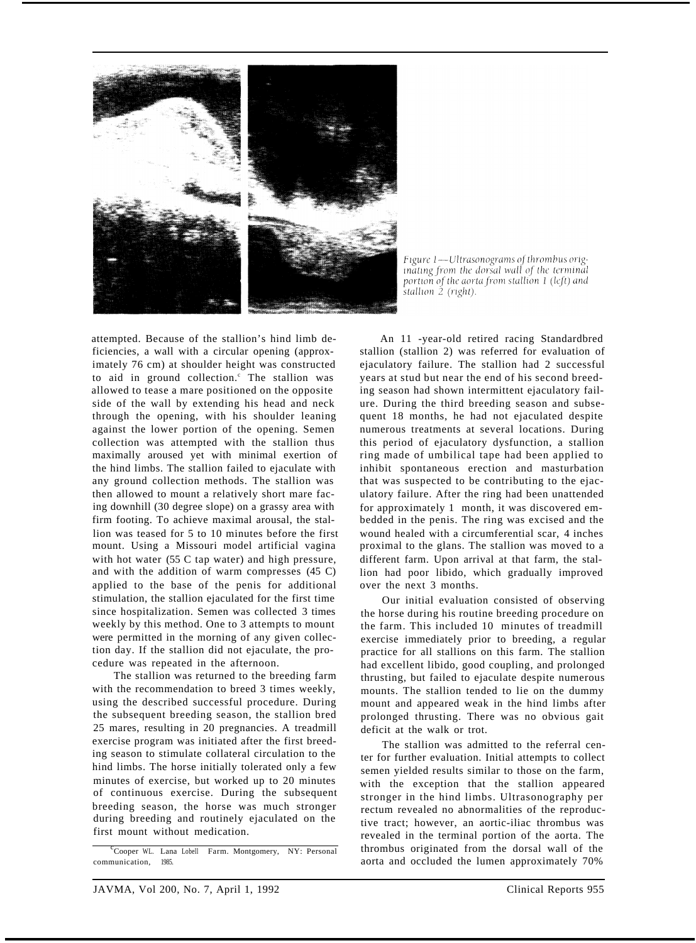

Figure 1—Ultrasonograms of thrombus originating from the dorsal wall of the terminal portion of the aorta from stallion 1 (left) and stallion 2 (right).

attempted. Because of the stallion's hind limb deficiencies, a wall with a circular opening (approximately 76 cm) at shoulder height was constructed to aid in ground collection.<sup>c</sup> The stallion was allowed to tease a mare positioned on the opposite side of the wall by extending his head and neck through the opening, with his shoulder leaning against the lower portion of the opening. Semen collection was attempted with the stallion thus maximally aroused yet with minimal exertion of the hind limbs. The stallion failed to ejaculate with any ground collection methods. The stallion was then allowed to mount a relatively short mare fac ing downhill (30 degree slope) on a grassy area with firm footing. To achieve maximal arousal, the stallion was teased for 5 to 10 minutes before the first mount. Using a Missouri model artificial vagina with hot water (55 C tap water) and high pressure, and with the addition of warm compresses (45 C) applied to the base of the penis for additional stimulation, the stallion ejaculated for the first time since hospitalization. Semen was collected 3 times weekly by this method. One to 3 attempts to mount were permitted in the morning of any given collection day. If the stallion did not ejaculate, the procedure was repeated in the afternoon.

The stallion was returned to the breeding farm with the recommendation to breed 3 times weekly, using the described successful procedure. During the subsequent breeding season, the stallion bred 25 mares, resulting in 20 pregnancies. A treadmill exercise program was initiated after the first breeding season to stimulate collateral circulation to the hind limbs. The horse initially tolerated only a few minutes of exercise, but worked up to 20 minutes of continuous exercise. During the subsequent breeding season, the horse was much stronger during breeding and routinely ejaculated on the first mount without medication.

<sup>c</sup> Cooper WL. Lana Lobell Farm. Montgomery, NY: Personal communication, 1985.

An 11 -year-old retired racing Standardbred stallion (stallion 2) was referred for evaluation of ejaculatory failure. The stallion had 2 successful years at stud but near the end of his second breeding season had shown intermittent ejaculatory failure. During the third breeding season and subsequent 18 months, he had not ejaculated despite numerous treatments at several locations. During this period of ejaculatory dysfunction, a stallion ring made of umbilical tape had been applied to inhibit spontaneous erection and masturbation that was suspected to be contributing to the ejaculatory failure. After the ring had been unattended for approximately 1 month, it was discovered embedded in the penis. The ring was excised and the wound healed with a circumferential scar, 4 inches proximal to the glans. The stallion was moved to a different farm. Upon arrival at that farm, the stallion had poor libido, which gradually improved over the next 3 months.

Our initial evaluation consisted of observing the horse during his routine breeding procedure on the farm. This included 10 minutes of treadmill exercise immediately prior to breeding, a regular practice for all stallions on this farm. The stallion had excellent libido, good coupling, and prolonged thrusting, but failed to ejaculate despite numerous mounts. The stallion tended to lie on the dummy mount and appeared weak in the hind limbs after prolonged thrusting. There was no obvious gait deficit at the walk or trot.

The stallion was admitted to the referral center for further evaluation. Initial attempts to collect semen yielded results similar to those on the farm, with the exception that the stallion appeared stronger in the hind limbs. Ultrasonography per rectum revealed no abnormalities of the reproductive tract; however, an aortic-iliac thrombus was revealed in the terminal portion of the aorta. The thrombus originated from the dorsal wall of the aorta and occluded the lumen approximately 70%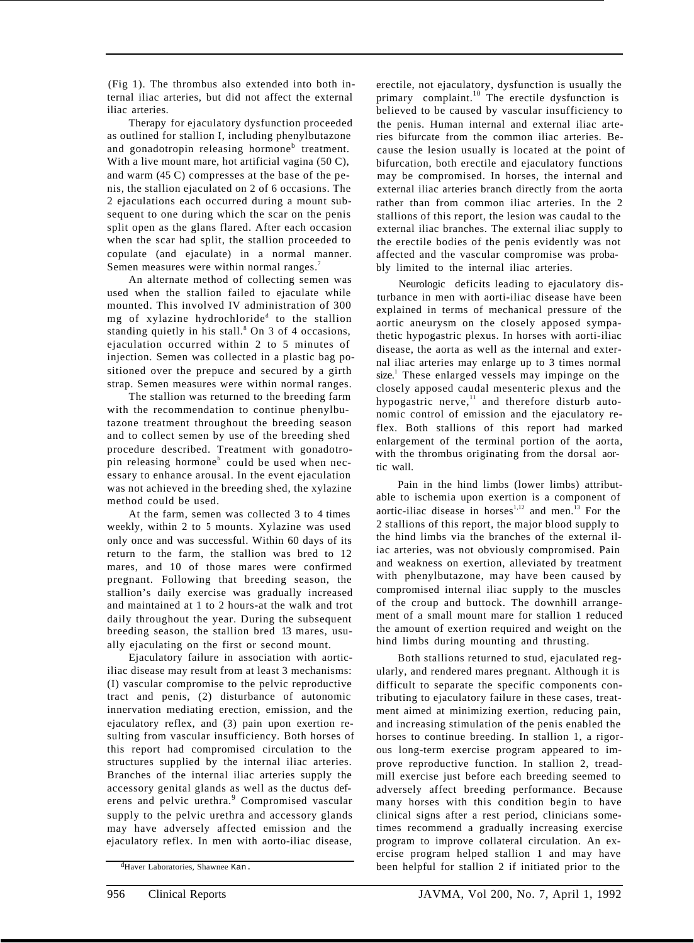(Fig 1). The thrombus also extended into both internal iliac arteries, but did not affect the external iliac arteries.

Therapy for ejaculatory dysfunction proceeded as outlined for stallion I, including phenylbutazone and gonadotropin releasing hormone<sup>b</sup> treatment. With a live mount mare, hot artificial vagina (50 C), and warm (45 C) compresses at the base of the penis, the stallion ejaculated on 2 of 6 occasions. The 2 ejaculations each occurred during a mount subsequent to one during which the scar on the penis split open as the glans flared. After each occasion when the scar had split, the stallion proceeded to copulate (and ejaculate) in a normal manner. Semen measures were within normal ranges.<sup>7</sup>

An alternate method of collecting semen was used when the stallion failed to ejaculate while mounted. This involved IV administration of 300 mg of xylazine hydrochloride<sup>d</sup> to the stallion standing quietly in his stall. $8$  On 3 of 4 occasions, ejaculation occurred within 2 to 5 minutes of injection. Semen was collected in a plastic bag positioned over the prepuce and secured by a girth strap. Semen measures were within normal ranges.

The stallion was returned to the breeding farm with the recommendation to continue phenylbutazone treatment throughout the breeding season and to collect semen by use of the breeding shed procedure described. Treatment with gonadotropin releasing hormone<sup>b</sup> could be used when necessary to enhance arousal. In the event ejaculation was not achieved in the breeding shed, the xylazine method could be used.

At the farm, semen was collected 3 to 4 times weekly, within 2 to 5 mounts. Xylazine was used only once and was successful. Within 60 days of its return to the farm, the stallion was bred to 12 mares, and 10 of those mares were confirmed pregnant. Following that breeding season, the stallion's daily exercise was gradually increased and maintained at 1 to 2 hours-at the walk and trot daily throughout the year. During the subsequent breeding season, the stallion bred 13 mares, usually ejaculating on the first or second mount.

Ejaculatory failure in association with aorticiliac disease may result from at least 3 mechanisms: (I) vascular compromise to the pelvic reproductive tract and penis, (2) disturbance of autonomic innervation mediating erection, emission, and the ejaculatory reflex, and (3) pain upon exertion resulting from vascular insufficiency. Both horses of this report had compromised circulation to the structures supplied by the internal iliac arteries. Branches of the internal iliac arteries supply the accessory genital glands as well as the ductus deferens and pelvic urethra.<sup>9</sup> Compromised vascular supply to the pelvic urethra and accessory glands may have adversely affected emission and the ejaculatory reflex. In men with aorto-iliac disease,

erectile, not ejaculatory, dysfunction is usually the primary complaint.<sup>10</sup> The erectile dysfunction is believed to be caused by vascular insufficiency to the penis. Human internal and external iliac arteries bifurcate from the common iliac arteries. Because the lesion usually is located at the point of bifurcation, both erectile and ejaculatory functions may be compromised. In horses, the internal and external iliac arteries branch directly from the aorta rather than from common iliac arteries. In the 2 stallions of this report, the lesion was caudal to the external iliac branches. The external iliac supply to the erectile bodies of the penis evidently was not affected and the vascular compromise was probably limited to the internal iliac arteries.

Neurologic deficits leading to ejaculatory disturbance in men with aorti-iliac disease have been explained in terms of mechanical pressure of the aortic aneurysm on the closely apposed sympathetic hypogastric plexus. In horses with aorti-iliac disease, the aorta as well as the internal and external iliac arteries may enlarge up to 3 times normal size.<sup>1</sup> These enlarged vessels may impinge on the closely apposed caudal mesenteric plexus and the hypogastric nerve,<sup>11</sup> and therefore disturb autonomic control of emission and the ejaculatory reflex. Both stallions of this report had marked enlargement of the terminal portion of the aorta, with the thrombus originating from the dorsal aortic wall.

Pain in the hind limbs (lower limbs) attributable to ischemia upon exertion is a component of aortic-iliac disease in horses<sup>1,12</sup> and men.<sup>13</sup> For the 2 stallions of this report, the major blood supply to the hind limbs via the branches of the external iliac arteries, was not obviously compromised. Pain and weakness on exertion, alleviated by treatment with phenylbutazone, may have been caused by compromised internal iliac supply to the muscles of the croup and buttock. The downhill arrangement of a small mount mare for stallion 1 reduced the amount of exertion required and weight on the hind limbs during mounting and thrusting.

Both stallions returned to stud, ejaculated regularly, and rendered mares pregnant. Although it is difficult to separate the specific components contributing to ejaculatory failure in these cases, treatment aimed at minimizing exertion, reducing pain, and increasing stimulation of the penis enabled the horses to continue breeding. In stallion 1, a rigorous long-term exercise program appeared to improve reproductive function. In stallion 2, treadmill exercise just before each breeding seemed to adversely affect breeding performance. Because many horses with this condition begin to have clinical signs after a rest period, clinicians sometimes recommend a gradually increasing exercise program to improve collateral circulation. An exercise program helped stallion 1 and may have been helpful for stallion 2 if initiated prior to the

dHaver Laboratories, Shawnee Kan.